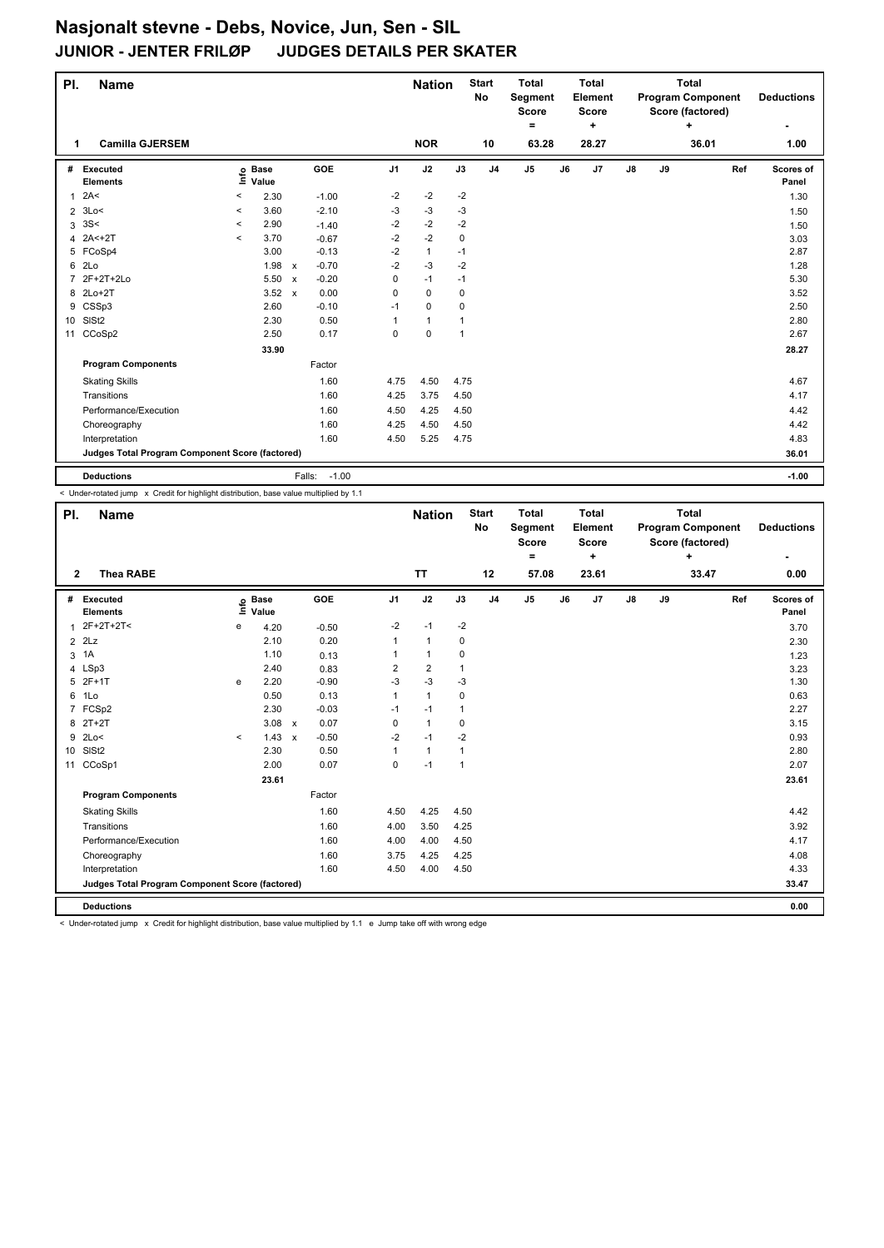| PI.            | <b>Name</b>                                     |          |                 |                                      |                | <b>Nation</b> |              | <b>Start</b><br>No | <b>Total</b><br>Segment<br><b>Score</b><br>۰ |    | <b>Total</b><br>Element<br><b>Score</b><br>÷ |               |    | <b>Total</b><br><b>Program Component</b><br>Score (factored)<br>÷ |     | <b>Deductions</b>  |
|----------------|-------------------------------------------------|----------|-----------------|--------------------------------------|----------------|---------------|--------------|--------------------|----------------------------------------------|----|----------------------------------------------|---------------|----|-------------------------------------------------------------------|-----|--------------------|
| 1              | <b>Camilla GJERSEM</b>                          |          |                 |                                      |                | <b>NOR</b>    |              | 10                 | 63.28                                        |    | 28.27                                        |               |    | 36.01                                                             |     | 1.00               |
| #              | Executed<br><b>Elements</b>                     | Ξ        | o Base<br>Value | GOE                                  | J <sub>1</sub> | J2            | J3           | J <sub>4</sub>     | J <sub>5</sub>                               | J6 | J7                                           | $\mathsf{J}8$ | J9 |                                                                   | Ref | Scores of<br>Panel |
| 1              | 2A<                                             | $\,<$    | 2.30            | $-1.00$                              | $-2$           | $-2$          | $-2$         |                    |                                              |    |                                              |               |    |                                                                   |     | 1.30               |
| $\overline{2}$ | 3Lo<                                            | $\prec$  | 3.60            | $-2.10$                              | -3             | $-3$          | $-3$         |                    |                                              |    |                                              |               |    |                                                                   |     | 1.50               |
| 3              | 3S<                                             | $\,<\,$  | 2.90            | $-1.40$                              | $-2$           | $-2$          | $-2$         |                    |                                              |    |                                              |               |    |                                                                   |     | 1.50               |
| $\overline{4}$ | $2A2 + 2T$                                      | $\hat{}$ | 3.70            | $-0.67$                              | $-2$           | $-2$          | $\mathbf 0$  |                    |                                              |    |                                              |               |    |                                                                   |     | 3.03               |
|                | 5 FCoSp4                                        |          | 3.00            | $-0.13$                              | $-2$           | $\mathbf{1}$  | $-1$         |                    |                                              |    |                                              |               |    |                                                                   |     | 2.87               |
| 6              | 2 <sub>LO</sub>                                 |          | 1.98            | $-0.70$<br>$\boldsymbol{\mathsf{x}}$ | $-2$           | $-3$          | $-2$         |                    |                                              |    |                                              |               |    |                                                                   |     | 1.28               |
| $\overline{7}$ | 2F+2T+2Lo                                       |          | 5.50 x          | $-0.20$                              | 0              | $-1$          | $-1$         |                    |                                              |    |                                              |               |    |                                                                   |     | 5.30               |
|                | 8 2Lo+2T                                        |          | $3.52 \times$   | 0.00                                 | 0              | $\mathbf 0$   | 0            |                    |                                              |    |                                              |               |    |                                                                   |     | 3.52               |
| 9              | CSSp3                                           |          | 2.60            | $-0.10$                              | $-1$           | $\mathbf 0$   | 0            |                    |                                              |    |                                              |               |    |                                                                   |     | 2.50               |
| 10             | SISt <sub>2</sub>                               |          | 2.30            | 0.50                                 | 1              | $\mathbf{1}$  | $\mathbf{1}$ |                    |                                              |    |                                              |               |    |                                                                   |     | 2.80               |
| 11             | CCoSp2                                          |          | 2.50            | 0.17                                 | $\Omega$       | $\mathbf 0$   | $\mathbf{1}$ |                    |                                              |    |                                              |               |    |                                                                   |     | 2.67               |
|                |                                                 |          | 33.90           |                                      |                |               |              |                    |                                              |    |                                              |               |    |                                                                   |     | 28.27              |
|                | <b>Program Components</b>                       |          |                 | Factor                               |                |               |              |                    |                                              |    |                                              |               |    |                                                                   |     |                    |
|                | <b>Skating Skills</b>                           |          |                 | 1.60                                 | 4.75           | 4.50          | 4.75         |                    |                                              |    |                                              |               |    |                                                                   |     | 4.67               |
|                | Transitions                                     |          |                 | 1.60                                 | 4.25           | 3.75          | 4.50         |                    |                                              |    |                                              |               |    |                                                                   |     | 4.17               |
|                | Performance/Execution                           |          |                 | 1.60                                 | 4.50           | 4.25          | 4.50         |                    |                                              |    |                                              |               |    |                                                                   |     | 4.42               |
|                | Choreography                                    |          |                 | 1.60                                 | 4.25           | 4.50          | 4.50         |                    |                                              |    |                                              |               |    |                                                                   |     | 4.42               |
|                | Interpretation                                  |          |                 | 1.60                                 | 4.50           | 5.25          | 4.75         |                    |                                              |    |                                              |               |    |                                                                   |     | 4.83               |
|                | Judges Total Program Component Score (factored) |          |                 |                                      |                |               |              |                    |                                              |    |                                              |               |    |                                                                   |     | 36.01              |
|                | <b>Deductions</b>                               |          |                 | $-1.00$<br>Falls:                    |                |               |              |                    |                                              |    |                                              |               |    |                                                                   |     | $-1.00$            |

< Under-rotated jump x Credit for highlight distribution, base value multiplied by 1.1

| PI.            | <b>Name</b>                                     |         |                            |                                   |                | <b>Nation</b>  |              | <b>Start</b><br>No | <b>Total</b><br>Segment<br><b>Score</b><br>$=$ |    | <b>Total</b><br>Element<br><b>Score</b><br>٠ |               |    | <b>Total</b><br><b>Program Component</b><br>Score (factored)<br>÷ |     | <b>Deductions</b>  |
|----------------|-------------------------------------------------|---------|----------------------------|-----------------------------------|----------------|----------------|--------------|--------------------|------------------------------------------------|----|----------------------------------------------|---------------|----|-------------------------------------------------------------------|-----|--------------------|
| $\overline{2}$ | <b>Thea RABE</b>                                |         |                            |                                   |                | <b>TT</b>      |              | 12                 | 57.08                                          |    | 23.61                                        |               |    | 33.47                                                             |     | 0.00               |
| #              | Executed<br><b>Elements</b>                     |         | e Base<br>E Value<br>Value | <b>GOE</b>                        | J <sub>1</sub> | J2             | J3           | J <sub>4</sub>     | J5                                             | J6 | J7                                           | $\mathsf{J}8$ | J9 |                                                                   | Ref | Scores of<br>Panel |
| 1              | $2F+2T+2T<$                                     | e       | 4.20                       | $-0.50$                           | $-2$           | $-1$           | $-2$         |                    |                                                |    |                                              |               |    |                                                                   |     | 3.70               |
|                | $2$ $2$ Lz                                      |         | 2.10                       | 0.20                              | 1              | $\mathbf{1}$   | 0            |                    |                                                |    |                                              |               |    |                                                                   |     | 2.30               |
| 3              | 1A                                              |         | 1.10                       | 0.13                              | 1              | $\mathbf{1}$   | 0            |                    |                                                |    |                                              |               |    |                                                                   |     | 1.23               |
|                | 4 LSp3                                          |         | 2.40                       | 0.83                              | $\overline{2}$ | $\overline{2}$ | $\mathbf{1}$ |                    |                                                |    |                                              |               |    |                                                                   |     | 3.23               |
| 5              | $2F+1T$                                         | e       | 2.20                       | $-0.90$                           | $-3$           | $-3$           | $-3$         |                    |                                                |    |                                              |               |    |                                                                   |     | 1.30               |
| 6              | 1Lo                                             |         | 0.50                       | 0.13                              | 1              | $\mathbf{1}$   | 0            |                    |                                                |    |                                              |               |    |                                                                   |     | 0.63               |
|                | 7 FCSp2                                         |         | 2.30                       | $-0.03$                           | $-1$           | $-1$           | $\mathbf{1}$ |                    |                                                |    |                                              |               |    |                                                                   |     | 2.27               |
| 8              | $2T+2T$                                         |         | 3.08                       | 0.07<br>$\boldsymbol{\mathsf{x}}$ | $\mathbf 0$    | $\mathbf{1}$   | 0            |                    |                                                |    |                                              |               |    |                                                                   |     | 3.15               |
| 9              | 2Lo<                                            | $\prec$ | 1.43                       | $-0.50$<br>$\mathbf{x}$           | $-2$           | $-1$           | $-2$         |                    |                                                |    |                                              |               |    |                                                                   |     | 0.93               |
| 10             | SISt <sub>2</sub>                               |         | 2.30                       | 0.50                              | 1              | $\mathbf{1}$   | 1            |                    |                                                |    |                                              |               |    |                                                                   |     | 2.80               |
| 11             | CCoSp1                                          |         | 2.00                       | 0.07                              | 0              | $-1$           | 1            |                    |                                                |    |                                              |               |    |                                                                   |     | 2.07               |
|                |                                                 |         | 23.61                      |                                   |                |                |              |                    |                                                |    |                                              |               |    |                                                                   |     | 23.61              |
|                | <b>Program Components</b>                       |         |                            | Factor                            |                |                |              |                    |                                                |    |                                              |               |    |                                                                   |     |                    |
|                | <b>Skating Skills</b>                           |         |                            | 1.60                              | 4.50           | 4.25           | 4.50         |                    |                                                |    |                                              |               |    |                                                                   |     | 4.42               |
|                | Transitions                                     |         |                            | 1.60                              | 4.00           | 3.50           | 4.25         |                    |                                                |    |                                              |               |    |                                                                   |     | 3.92               |
|                | Performance/Execution                           |         |                            | 1.60                              | 4.00           | 4.00           | 4.50         |                    |                                                |    |                                              |               |    |                                                                   |     | 4.17               |
|                | Choreography                                    |         |                            | 1.60                              | 3.75           | 4.25           | 4.25         |                    |                                                |    |                                              |               |    |                                                                   |     | 4.08               |
|                | Interpretation                                  |         |                            | 1.60                              | 4.50           | 4.00           | 4.50         |                    |                                                |    |                                              |               |    |                                                                   |     | 4.33               |
|                | Judges Total Program Component Score (factored) |         |                            |                                   |                |                |              |                    |                                                |    |                                              |               |    |                                                                   |     | 33.47              |
|                | <b>Deductions</b>                               |         |                            |                                   |                |                |              |                    |                                                |    |                                              |               |    |                                                                   |     | 0.00               |

< Under-rotated jump x Credit for highlight distribution, base value multiplied by 1.1 e Jump take off with wrong edge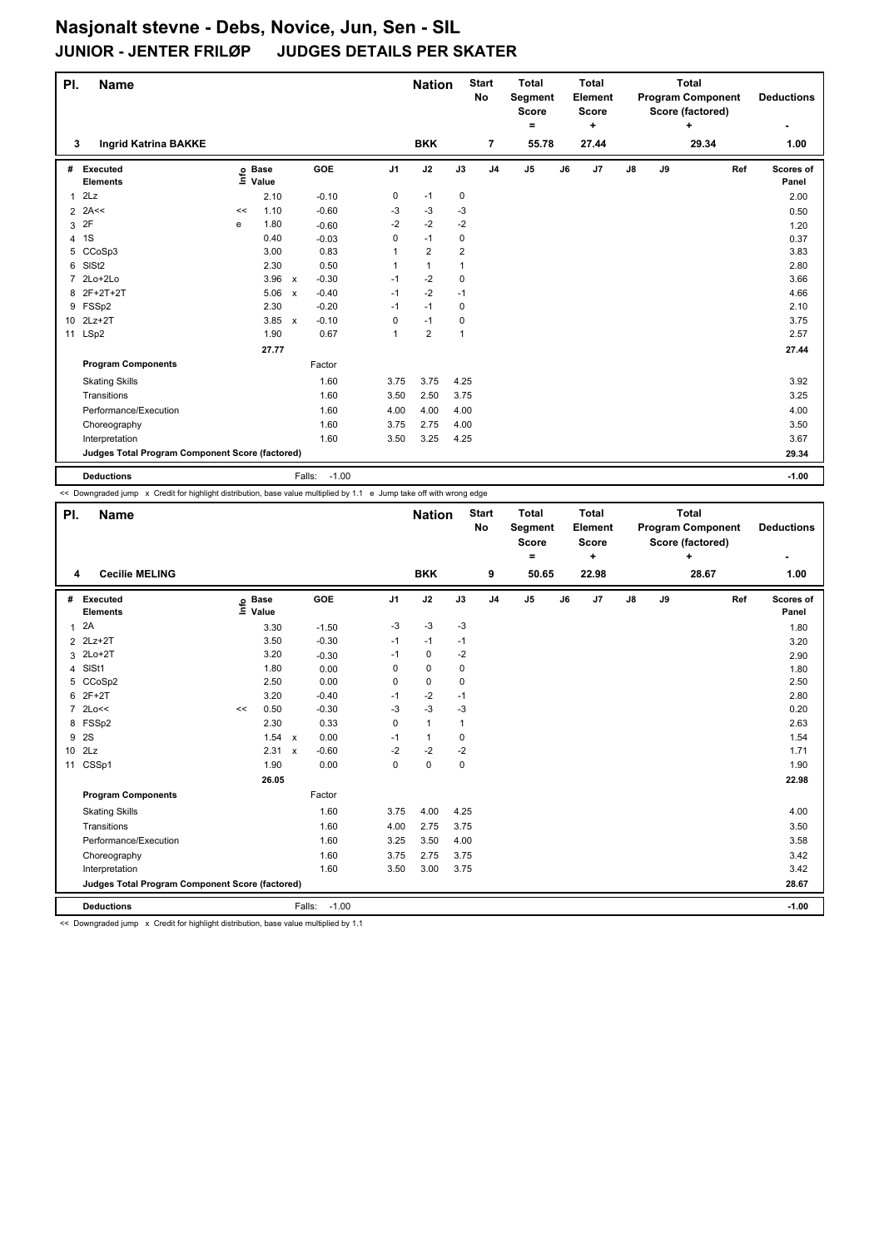| PI.            | <b>Name</b>                                     |    |                            |              |         |                | <b>Nation</b>  |      | <b>Start</b><br>No | <b>Total</b><br><b>Segment</b><br><b>Score</b><br>$=$ |    | <b>Total</b><br>Element<br><b>Score</b><br>٠ |               |    | <b>Total</b><br><b>Program Component</b><br>Score (factored)<br>÷ |     | <b>Deductions</b>  |
|----------------|-------------------------------------------------|----|----------------------------|--------------|---------|----------------|----------------|------|--------------------|-------------------------------------------------------|----|----------------------------------------------|---------------|----|-------------------------------------------------------------------|-----|--------------------|
| 3              | <b>Ingrid Katrina BAKKE</b>                     |    |                            |              |         |                | <b>BKK</b>     |      | $\overline{7}$     | 55.78                                                 |    | 27.44                                        |               |    | 29.34                                                             |     | 1.00               |
|                | # Executed<br><b>Elements</b>                   |    | e Base<br>E Value<br>Value |              | GOE     | J <sub>1</sub> | J2             | J3   | J <sub>4</sub>     | J <sub>5</sub>                                        | J6 | J7                                           | $\mathsf{J}8$ | J9 |                                                                   | Ref | Scores of<br>Panel |
| $\mathbf{1}$   | 2Lz                                             |    | 2.10                       |              | $-0.10$ | 0              | $-1$           | 0    |                    |                                                       |    |                                              |               |    |                                                                   |     | 2.00               |
|                | $2$ 2A<<                                        | << | 1.10                       |              | $-0.60$ | $-3$           | $-3$           | -3   |                    |                                                       |    |                                              |               |    |                                                                   |     | 0.50               |
|                | 3 2F                                            | e  | 1.80                       |              | $-0.60$ | $-2$           | $-2$           | $-2$ |                    |                                                       |    |                                              |               |    |                                                                   |     | 1.20               |
|                | 4 1S                                            |    | 0.40                       |              | $-0.03$ | 0              | $-1$           | 0    |                    |                                                       |    |                                              |               |    |                                                                   |     | 0.37               |
| 5              | CCoSp3                                          |    | 3.00                       |              | 0.83    |                | $\overline{2}$ | 2    |                    |                                                       |    |                                              |               |    |                                                                   |     | 3.83               |
| 6              | SISt <sub>2</sub>                               |    | 2.30                       |              | 0.50    |                | $\mathbf{1}$   |      |                    |                                                       |    |                                              |               |    |                                                                   |     | 2.80               |
| $\overline{7}$ | 2Lo+2Lo                                         |    | $3.96 \times$              |              | $-0.30$ | $-1$           | $-2$           | 0    |                    |                                                       |    |                                              |               |    |                                                                   |     | 3.66               |
| 8              | 2F+2T+2T                                        |    | 5.06                       | $\mathbf{x}$ | $-0.40$ | $-1$           | $-2$           | $-1$ |                    |                                                       |    |                                              |               |    |                                                                   |     | 4.66               |
|                | 9 FSSp2                                         |    | 2.30                       |              | $-0.20$ | $-1$           | $-1$           | 0    |                    |                                                       |    |                                              |               |    |                                                                   |     | 2.10               |
|                | 10 2Lz+2T                                       |    | 3.85 x                     |              | $-0.10$ | 0              | $-1$           | 0    |                    |                                                       |    |                                              |               |    |                                                                   |     | 3.75               |
|                | 11 LSp2                                         |    | 1.90                       |              | 0.67    | 1              | $\overline{2}$ | 1    |                    |                                                       |    |                                              |               |    |                                                                   |     | 2.57               |
|                |                                                 |    | 27.77                      |              |         |                |                |      |                    |                                                       |    |                                              |               |    |                                                                   |     | 27.44              |
|                | <b>Program Components</b>                       |    |                            |              | Factor  |                |                |      |                    |                                                       |    |                                              |               |    |                                                                   |     |                    |
|                | <b>Skating Skills</b>                           |    |                            |              | 1.60    | 3.75           | 3.75           | 4.25 |                    |                                                       |    |                                              |               |    |                                                                   |     | 3.92               |
|                | Transitions                                     |    |                            |              | 1.60    | 3.50           | 2.50           | 3.75 |                    |                                                       |    |                                              |               |    |                                                                   |     | 3.25               |
|                | Performance/Execution                           |    |                            |              | 1.60    | 4.00           | 4.00           | 4.00 |                    |                                                       |    |                                              |               |    |                                                                   |     | 4.00               |
|                | Choreography                                    |    |                            |              | 1.60    | 3.75           | 2.75           | 4.00 |                    |                                                       |    |                                              |               |    |                                                                   |     | 3.50               |
|                | Interpretation                                  |    |                            |              | 1.60    | 3.50           | 3.25           | 4.25 |                    |                                                       |    |                                              |               |    |                                                                   |     | 3.67               |
|                | Judges Total Program Component Score (factored) |    |                            |              |         |                |                |      |                    |                                                       |    |                                              |               |    |                                                                   |     | 29.34              |
|                | <b>Deductions</b>                               |    |                            | Falls:       | $-1.00$ |                |                |      |                    |                                                       |    |                                              |               |    |                                                                   |     | $-1.00$            |

<< Downgraded jump x Credit for highlight distribution, base value multiplied by 1.1 e Jump take off with wrong edge

| PI.             | <b>Name</b>                                     |    |                            |                           |            |                | <b>Nation</b> |             | <b>Start</b><br><b>No</b> | <b>Total</b><br>Segment<br><b>Score</b> |    | <b>Total</b><br>Element<br><b>Score</b> |               |    | <b>Total</b><br><b>Program Component</b><br>Score (factored) |     | <b>Deductions</b>  |
|-----------------|-------------------------------------------------|----|----------------------------|---------------------------|------------|----------------|---------------|-------------|---------------------------|-----------------------------------------|----|-----------------------------------------|---------------|----|--------------------------------------------------------------|-----|--------------------|
| 4               | <b>Cecilie MELING</b>                           |    |                            |                           |            |                | <b>BKK</b>    |             | 9                         | ۰<br>50.65                              |    | ٠<br>22.98                              |               |    | ٠<br>28.67                                                   |     | 1.00               |
| #               | Executed<br><b>Elements</b>                     |    | e Base<br>E Value<br>Value |                           | <b>GOE</b> | J <sub>1</sub> | J2            | J3          | J <sub>4</sub>            | J <sub>5</sub>                          | J6 | J7                                      | $\mathsf{J}8$ | J9 |                                                              | Ref | Scores of<br>Panel |
| $\mathbf{1}$    | 2A                                              |    | 3.30                       |                           | $-1.50$    | $-3$           | -3            | $-3$        |                           |                                         |    |                                         |               |    |                                                              |     | 1.80               |
|                 | 2 2Lz+2T                                        |    | 3.50                       |                           | $-0.30$    | $-1$           | $-1$          | $-1$        |                           |                                         |    |                                         |               |    |                                                              |     | 3.20               |
|                 | 3 2Lo+2T                                        |    | 3.20                       |                           | $-0.30$    | $-1$           | $\mathbf 0$   | $-2$        |                           |                                         |    |                                         |               |    |                                                              |     | 2.90               |
| 4               | SISt1                                           |    | 1.80                       |                           | 0.00       | 0              | $\mathbf 0$   | $\mathbf 0$ |                           |                                         |    |                                         |               |    |                                                              |     | 1.80               |
| 5               | CCoSp2                                          |    | 2.50                       |                           | 0.00       | 0              | $\mathbf 0$   | 0           |                           |                                         |    |                                         |               |    |                                                              |     | 2.50               |
| 6               | $2F+2T$                                         |    | 3.20                       |                           | $-0.40$    | $-1$           | $-2$          | $-1$        |                           |                                         |    |                                         |               |    |                                                              |     | 2.80               |
|                 | 7 2Lo<<                                         | << | 0.50                       |                           | $-0.30$    | $-3$           | $-3$          | $-3$        |                           |                                         |    |                                         |               |    |                                                              |     | 0.20               |
| 8               | FSSp2                                           |    | 2.30                       |                           | 0.33       | 0              | $\mathbf{1}$  | 1           |                           |                                         |    |                                         |               |    |                                                              |     | 2.63               |
| 9               | 2S                                              |    | 1.54                       | $\mathsf{x}$              | 0.00       | $-1$           | $\mathbf{1}$  | 0           |                           |                                         |    |                                         |               |    |                                                              |     | 1.54               |
| 10 <sup>°</sup> | 2Lz                                             |    | 2.31                       | $\boldsymbol{\mathsf{x}}$ | $-0.60$    | $-2$           | $-2$          | $-2$        |                           |                                         |    |                                         |               |    |                                                              |     | 1.71               |
| 11              | CSSp1                                           |    | 1.90                       |                           | 0.00       | 0              | 0             | $\mathbf 0$ |                           |                                         |    |                                         |               |    |                                                              |     | 1.90               |
|                 |                                                 |    | 26.05                      |                           |            |                |               |             |                           |                                         |    |                                         |               |    |                                                              |     | 22.98              |
|                 | <b>Program Components</b>                       |    |                            |                           | Factor     |                |               |             |                           |                                         |    |                                         |               |    |                                                              |     |                    |
|                 | <b>Skating Skills</b>                           |    |                            |                           | 1.60       | 3.75           | 4.00          | 4.25        |                           |                                         |    |                                         |               |    |                                                              |     | 4.00               |
|                 | Transitions                                     |    |                            |                           | 1.60       | 4.00           | 2.75          | 3.75        |                           |                                         |    |                                         |               |    |                                                              |     | 3.50               |
|                 | Performance/Execution                           |    |                            |                           | 1.60       | 3.25           | 3.50          | 4.00        |                           |                                         |    |                                         |               |    |                                                              |     | 3.58               |
|                 | Choreography                                    |    |                            |                           | 1.60       | 3.75           | 2.75          | 3.75        |                           |                                         |    |                                         |               |    |                                                              |     | 3.42               |
|                 | Interpretation                                  |    |                            |                           | 1.60       | 3.50           | 3.00          | 3.75        |                           |                                         |    |                                         |               |    |                                                              |     | 3.42               |
|                 | Judges Total Program Component Score (factored) |    |                            |                           |            |                |               |             |                           |                                         |    |                                         |               |    |                                                              |     | 28.67              |
|                 | <b>Deductions</b>                               |    |                            | Falls:                    | $-1.00$    |                |               |             |                           |                                         |    |                                         |               |    |                                                              |     | $-1.00$            |

<< Downgraded jump x Credit for highlight distribution, base value multiplied by 1.1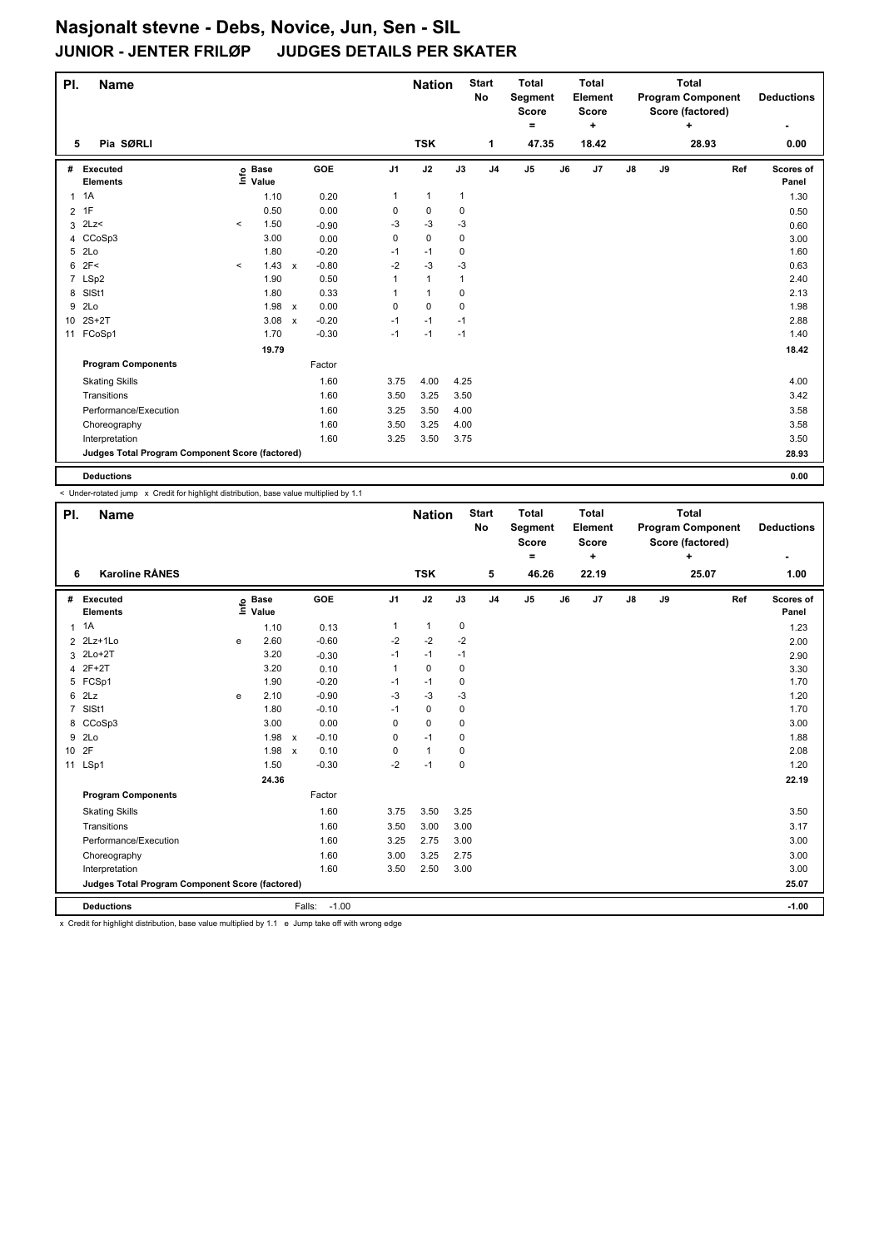| PI.            | <b>Name</b>                                     |          |                            |                                      |                | <b>Nation</b> |              | <b>Start</b><br>No | <b>Total</b><br>Segment<br><b>Score</b><br>۰ |    | <b>Total</b><br>Element<br><b>Score</b><br>٠ |               |    | <b>Total</b><br><b>Program Component</b><br>Score (factored)<br>÷ |     | <b>Deductions</b>  |
|----------------|-------------------------------------------------|----------|----------------------------|--------------------------------------|----------------|---------------|--------------|--------------------|----------------------------------------------|----|----------------------------------------------|---------------|----|-------------------------------------------------------------------|-----|--------------------|
| 5              | Pia SØRLI                                       |          |                            |                                      |                | <b>TSK</b>    |              | 1                  | 47.35                                        |    | 18.42                                        |               |    | 28.93                                                             |     | 0.00               |
| #              | Executed<br><b>Elements</b>                     |          | e Base<br>E Value<br>Value | <b>GOE</b>                           | J <sub>1</sub> | J2            | J3           | J <sub>4</sub>     | $\mathsf{J}5$                                | J6 | J7                                           | $\mathsf{J}8$ | J9 |                                                                   | Ref | Scores of<br>Panel |
|                | $1 \t1A$                                        |          | 1.10                       | 0.20                                 | 1              | $\mathbf{1}$  | $\mathbf{1}$ |                    |                                              |    |                                              |               |    |                                                                   |     | 1.30               |
|                | $2$ 1F                                          |          | 0.50                       | 0.00                                 | 0              | 0             | 0            |                    |                                              |    |                                              |               |    |                                                                   |     | 0.50               |
|                | $3$ $2Lz$                                       | $\,<\,$  | 1.50                       | $-0.90$                              | -3             | -3            | -3           |                    |                                              |    |                                              |               |    |                                                                   |     | 0.60               |
|                | 4 CCoSp3                                        |          | 3.00                       | 0.00                                 | 0              | 0             | 0            |                    |                                              |    |                                              |               |    |                                                                   |     | 3.00               |
| 5              | 2 <sub>LO</sub>                                 |          | 1.80                       | $-0.20$                              | $-1$           | $-1$          | 0            |                    |                                              |    |                                              |               |    |                                                                   |     | 1.60               |
| 6              | 2F<                                             | $\hat{}$ | 1.43                       | $-0.80$<br>$\mathsf{x}$              | $-2$           | $-3$          | $-3$         |                    |                                              |    |                                              |               |    |                                                                   |     | 0.63               |
| $\overline{7}$ | LSp2                                            |          | 1.90                       | 0.50                                 | 1              | $\mathbf{1}$  | 1            |                    |                                              |    |                                              |               |    |                                                                   |     | 2.40               |
| 8              | SISt1                                           |          | 1.80                       | 0.33                                 | 1              | $\mathbf{1}$  | 0            |                    |                                              |    |                                              |               |    |                                                                   |     | 2.13               |
| 9              | 2Lo                                             |          | 1.98                       | 0.00<br>$\boldsymbol{\mathsf{x}}$    | 0              | $\mathbf 0$   | 0            |                    |                                              |    |                                              |               |    |                                                                   |     | 1.98               |
| 10             | $2S+2T$                                         |          | 3.08                       | $-0.20$<br>$\boldsymbol{\mathsf{x}}$ | $-1$           | $-1$          | $-1$         |                    |                                              |    |                                              |               |    |                                                                   |     | 2.88               |
|                | 11 FCoSp1                                       |          | 1.70                       | $-0.30$                              | $-1$           | $-1$          | $-1$         |                    |                                              |    |                                              |               |    |                                                                   |     | 1.40               |
|                |                                                 |          | 19.79                      |                                      |                |               |              |                    |                                              |    |                                              |               |    |                                                                   |     | 18.42              |
|                | <b>Program Components</b>                       |          |                            | Factor                               |                |               |              |                    |                                              |    |                                              |               |    |                                                                   |     |                    |
|                | <b>Skating Skills</b>                           |          |                            | 1.60                                 | 3.75           | 4.00          | 4.25         |                    |                                              |    |                                              |               |    |                                                                   |     | 4.00               |
|                | Transitions                                     |          |                            | 1.60                                 | 3.50           | 3.25          | 3.50         |                    |                                              |    |                                              |               |    |                                                                   |     | 3.42               |
|                | Performance/Execution                           |          |                            | 1.60                                 | 3.25           | 3.50          | 4.00         |                    |                                              |    |                                              |               |    |                                                                   |     | 3.58               |
|                | Choreography                                    |          |                            | 1.60                                 | 3.50           | 3.25          | 4.00         |                    |                                              |    |                                              |               |    |                                                                   |     | 3.58               |
|                | Interpretation                                  |          |                            | 1.60                                 | 3.25           | 3.50          | 3.75         |                    |                                              |    |                                              |               |    |                                                                   |     | 3.50               |
|                | Judges Total Program Component Score (factored) |          |                            |                                      |                |               |              |                    |                                              |    |                                              |               |    |                                                                   |     | 28.93              |
|                | <b>Deductions</b>                               |          |                            |                                      |                |               |              |                    |                                              |    |                                              |               |    |                                                                   |     | 0.00               |

< Under-rotated jump x Credit for highlight distribution, base value multiplied by 1.1

| PI.             | <b>Name</b>                                     |   |                            |                                      |                | <b>Nation</b> |             | <b>Start</b><br>No | <b>Total</b><br>Segment<br><b>Score</b><br>۰ |    | <b>Total</b><br>Element<br><b>Score</b><br>÷ |               |    | <b>Total</b><br><b>Program Component</b><br>Score (factored)<br>÷ |     | <b>Deductions</b>  |
|-----------------|-------------------------------------------------|---|----------------------------|--------------------------------------|----------------|---------------|-------------|--------------------|----------------------------------------------|----|----------------------------------------------|---------------|----|-------------------------------------------------------------------|-----|--------------------|
| 6               | <b>Karoline RÅNES</b>                           |   |                            |                                      |                | <b>TSK</b>    |             | 5                  | 46.26                                        |    | 22.19                                        |               |    | 25.07                                                             |     | 1.00               |
| #               | Executed<br><b>Elements</b>                     |   | e Base<br>E Value<br>Value | <b>GOE</b>                           | J <sub>1</sub> | J2            | J3          | J <sub>4</sub>     | J <sub>5</sub>                               | J6 | J <sub>7</sub>                               | $\mathsf{J}8$ | J9 |                                                                   | Ref | Scores of<br>Panel |
| $\mathbf{1}$    | 1A                                              |   | 1.10                       | 0.13                                 | $\mathbf{1}$   | $\mathbf{1}$  | 0           |                    |                                              |    |                                              |               |    |                                                                   |     | 1.23               |
|                 | 2 2Lz+1Lo                                       | e | 2.60                       | $-0.60$                              | $-2$           | $-2$          | $-2$        |                    |                                              |    |                                              |               |    |                                                                   |     | 2.00               |
| 3               | $2Lo+2T$                                        |   | 3.20                       | $-0.30$                              | $-1$           | $-1$          | $-1$        |                    |                                              |    |                                              |               |    |                                                                   |     | 2.90               |
| 4               | $2F+2T$                                         |   | 3.20                       | 0.10                                 | 1              | $\mathbf 0$   | $\mathbf 0$ |                    |                                              |    |                                              |               |    |                                                                   |     | 3.30               |
|                 | 5 FCSp1                                         |   | 1.90                       | $-0.20$                              | $-1$           | $-1$          | 0           |                    |                                              |    |                                              |               |    |                                                                   |     | 1.70               |
| 6               | 2Lz                                             | e | 2.10                       | $-0.90$                              | $-3$           | $-3$          | $-3$        |                    |                                              |    |                                              |               |    |                                                                   |     | 1.20               |
| $\overline{7}$  | SISt1                                           |   | 1.80                       | $-0.10$                              | $-1$           | $\mathbf 0$   | 0           |                    |                                              |    |                                              |               |    |                                                                   |     | 1.70               |
| 8               | CCoSp3                                          |   | 3.00                       | 0.00                                 | 0              | $\mathbf 0$   | 0           |                    |                                              |    |                                              |               |    |                                                                   |     | 3.00               |
| 9               | 2 <sub>LO</sub>                                 |   | 1.98                       | $-0.10$<br>$\boldsymbol{\mathsf{x}}$ | 0              | $-1$          | 0           |                    |                                              |    |                                              |               |    |                                                                   |     | 1.88               |
| 10 <sup>°</sup> | 2F                                              |   | 1.98                       | 0.10<br>$\mathsf{x}$                 | 0              | $\mathbf{1}$  | 0           |                    |                                              |    |                                              |               |    |                                                                   |     | 2.08               |
|                 | 11 LSp1                                         |   | 1.50                       | $-0.30$                              | $-2$           | $-1$          | $\Omega$    |                    |                                              |    |                                              |               |    |                                                                   |     | 1.20               |
|                 |                                                 |   | 24.36                      |                                      |                |               |             |                    |                                              |    |                                              |               |    |                                                                   |     | 22.19              |
|                 | <b>Program Components</b>                       |   |                            | Factor                               |                |               |             |                    |                                              |    |                                              |               |    |                                                                   |     |                    |
|                 | <b>Skating Skills</b>                           |   |                            | 1.60                                 | 3.75           | 3.50          | 3.25        |                    |                                              |    |                                              |               |    |                                                                   |     | 3.50               |
|                 | Transitions                                     |   |                            | 1.60                                 | 3.50           | 3.00          | 3.00        |                    |                                              |    |                                              |               |    |                                                                   |     | 3.17               |
|                 | Performance/Execution                           |   |                            | 1.60                                 | 3.25           | 2.75          | 3.00        |                    |                                              |    |                                              |               |    |                                                                   |     | 3.00               |
|                 | Choreography                                    |   |                            | 1.60                                 | 3.00           | 3.25          | 2.75        |                    |                                              |    |                                              |               |    |                                                                   |     | 3.00               |
|                 | Interpretation                                  |   |                            | 1.60                                 | 3.50           | 2.50          | 3.00        |                    |                                              |    |                                              |               |    |                                                                   |     | 3.00               |
|                 | Judges Total Program Component Score (factored) |   |                            |                                      |                |               |             |                    |                                              |    |                                              |               |    |                                                                   |     | 25.07              |
|                 | <b>Deductions</b>                               |   |                            | $-1.00$<br>Falls:                    |                |               |             |                    |                                              |    |                                              |               |    |                                                                   |     | $-1.00$            |

x Credit for highlight distribution, base value multiplied by 1.1 e Jump take off with wrong edge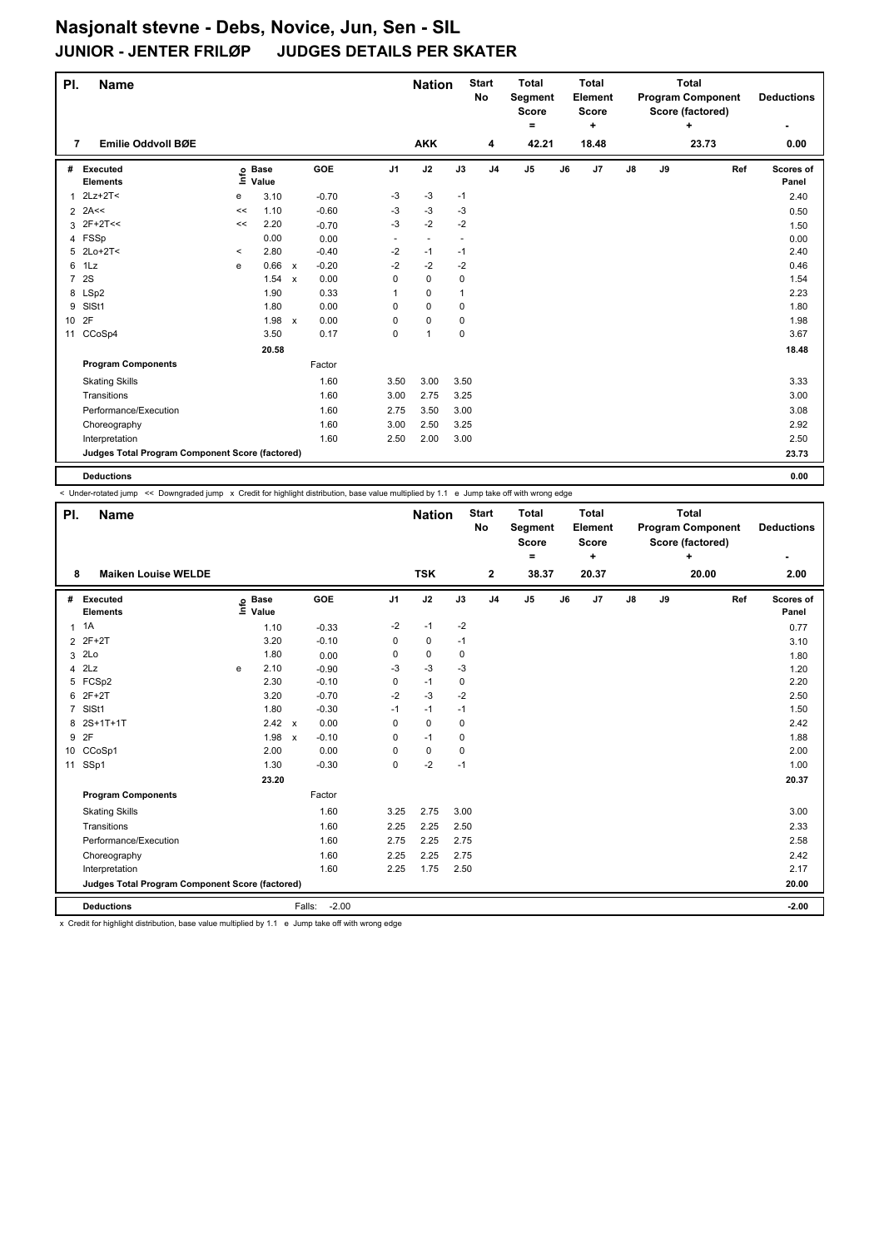| PI.          | <b>Name</b>                                     |         |                            |         |                | <b>Nation</b>            |                          | <b>Start</b><br>No | <b>Total</b><br>Segment<br><b>Score</b><br>۰ |    | <b>Total</b><br>Element<br><b>Score</b> |               |    | <b>Total</b><br><b>Program Component</b><br>Score (factored)<br>÷ |     | <b>Deductions</b>  |
|--------------|-------------------------------------------------|---------|----------------------------|---------|----------------|--------------------------|--------------------------|--------------------|----------------------------------------------|----|-----------------------------------------|---------------|----|-------------------------------------------------------------------|-----|--------------------|
| 7            | Emilie Oddvoll BØE                              |         |                            |         |                | <b>AKK</b>               |                          | 4                  | 42.21                                        |    | ٠<br>18.48                              |               |    | 23.73                                                             |     | 0.00               |
|              | # Executed<br><b>Elements</b>                   |         | e Base<br>E Value<br>Value | GOE     | J <sub>1</sub> | J2                       | J3                       | J <sub>4</sub>     | J <sub>5</sub>                               | J6 | J7                                      | $\mathsf{J}8$ | J9 |                                                                   | Ref | Scores of<br>Panel |
| $\mathbf{1}$ | 2Lz+2T<                                         | е       | 3.10                       | $-0.70$ | $-3$           | $-3$                     | $-1$                     |                    |                                              |    |                                         |               |    |                                                                   |     | 2.40               |
|              | $2$ 2A<<                                        | <<      | 1.10                       | $-0.60$ | $-3$           | $-3$                     | $-3$                     |                    |                                              |    |                                         |               |    |                                                                   |     | 0.50               |
|              | $3$ 2F+2T <<                                    | <<      | 2.20                       | $-0.70$ | $-3$           | $-2$                     | $-2$                     |                    |                                              |    |                                         |               |    |                                                                   |     | 1.50               |
|              | 4 FSSp                                          |         | 0.00                       | 0.00    | $\sim$         | $\overline{\phantom{a}}$ | $\overline{\phantom{a}}$ |                    |                                              |    |                                         |               |    |                                                                   |     | 0.00               |
|              | 5 2Lo+2T<                                       | $\,<\,$ | 2.80                       | $-0.40$ | $-2$           | $-1$                     | $-1$                     |                    |                                              |    |                                         |               |    |                                                                   |     | 2.40               |
|              | 6 1Lz                                           | e       | 0.66 x                     | $-0.20$ | $-2$           | $-2$                     | $-2$                     |                    |                                              |    |                                         |               |    |                                                                   |     | 0.46               |
|              | 7 2S                                            |         | 1.54 x                     | 0.00    | 0              | $\pmb{0}$                | 0                        |                    |                                              |    |                                         |               |    |                                                                   |     | 1.54               |
|              | 8 LSp2                                          |         | 1.90                       | 0.33    |                | $\pmb{0}$                | 1                        |                    |                                              |    |                                         |               |    |                                                                   |     | 2.23               |
| 9            | SISt1                                           |         | 1.80                       | 0.00    | 0              | $\mathbf 0$              | 0                        |                    |                                              |    |                                         |               |    |                                                                   |     | 1.80               |
| 10 2F        |                                                 |         | 1.98 x                     | 0.00    | 0              | $\mathbf 0$              | 0                        |                    |                                              |    |                                         |               |    |                                                                   |     | 1.98               |
|              | 11 CCoSp4                                       |         | 3.50                       | 0.17    | 0              | $\mathbf{1}$             | 0                        |                    |                                              |    |                                         |               |    |                                                                   |     | 3.67               |
|              |                                                 |         | 20.58                      |         |                |                          |                          |                    |                                              |    |                                         |               |    |                                                                   |     | 18.48              |
|              | <b>Program Components</b>                       |         |                            | Factor  |                |                          |                          |                    |                                              |    |                                         |               |    |                                                                   |     |                    |
|              | <b>Skating Skills</b>                           |         |                            | 1.60    | 3.50           | 3.00                     | 3.50                     |                    |                                              |    |                                         |               |    |                                                                   |     | 3.33               |
|              | Transitions                                     |         |                            | 1.60    | 3.00           | 2.75                     | 3.25                     |                    |                                              |    |                                         |               |    |                                                                   |     | 3.00               |
|              | Performance/Execution                           |         |                            | 1.60    | 2.75           | 3.50                     | 3.00                     |                    |                                              |    |                                         |               |    |                                                                   |     | 3.08               |
|              | Choreography                                    |         |                            | 1.60    | 3.00           | 2.50                     | 3.25                     |                    |                                              |    |                                         |               |    |                                                                   |     | 2.92               |
|              | Interpretation                                  |         |                            | 1.60    | 2.50           | 2.00                     | 3.00                     |                    |                                              |    |                                         |               |    |                                                                   |     | 2.50               |
|              | Judges Total Program Component Score (factored) |         |                            |         |                |                          |                          |                    |                                              |    |                                         |               |    |                                                                   |     | 23.73              |
|              | <b>Deductions</b>                               |         |                            |         |                |                          |                          |                    |                                              |    |                                         |               |    |                                                                   |     | 0.00               |

|                | < Under-rotated jump << Downgraded jump x Credit for highlight distribution, base value multiplied by 1.1 e Jump take off with wrong edge |      |                      |                           |                   |                |               |      |                           |                                         |    |                                         |               |    |                                                       |                           |
|----------------|-------------------------------------------------------------------------------------------------------------------------------------------|------|----------------------|---------------------------|-------------------|----------------|---------------|------|---------------------------|-----------------------------------------|----|-----------------------------------------|---------------|----|-------------------------------------------------------|---------------------------|
| PI.            | <b>Name</b>                                                                                                                               |      |                      |                           |                   |                | <b>Nation</b> |      | <b>Start</b><br><b>No</b> | <b>Total</b><br>Segment<br><b>Score</b> |    | <b>Total</b><br>Element<br><b>Score</b> |               |    | Total<br><b>Program Component</b><br>Score (factored) | <b>Deductions</b>         |
|                |                                                                                                                                           |      |                      |                           |                   |                |               |      |                           | Ξ.                                      |    | ÷                                       |               |    | ÷                                                     |                           |
| 8              | <b>Maiken Louise WELDE</b>                                                                                                                |      |                      |                           |                   |                | <b>TSK</b>    |      | $\mathbf{2}$              | 38.37                                   |    | 20.37                                   |               |    | 20.00                                                 | 2.00                      |
| #              | Executed<br><b>Elements</b>                                                                                                               | lnfo | <b>Base</b><br>Value |                           | GOE               | J <sub>1</sub> | J2            | J3   | J <sub>4</sub>            | J <sub>5</sub>                          | J6 | J7                                      | $\mathsf{J}8$ | J9 | Ref                                                   | <b>Scores of</b><br>Panel |
|                | $1 \t1A$                                                                                                                                  |      | 1.10                 |                           | $-0.33$           | $-2$           | $-1$          | $-2$ |                           |                                         |    |                                         |               |    |                                                       | 0.77                      |
| 2              | 2F+2T                                                                                                                                     |      | 3.20                 |                           | $-0.10$           | 0              | 0             | $-1$ |                           |                                         |    |                                         |               |    |                                                       | 3.10                      |
| 3              | 2Lo                                                                                                                                       |      | 1.80                 |                           | 0.00              | 0              | $\mathbf 0$   | 0    |                           |                                         |    |                                         |               |    |                                                       | 1.80                      |
| 4              | 2Lz                                                                                                                                       | е    | 2.10                 |                           | $-0.90$           | -3             | $-3$          | $-3$ |                           |                                         |    |                                         |               |    |                                                       | 1.20                      |
| 5              | FCSp2                                                                                                                                     |      | 2.30                 |                           | $-0.10$           | 0              | $-1$          | 0    |                           |                                         |    |                                         |               |    |                                                       | 2.20                      |
| 6              | $2F+2T$                                                                                                                                   |      | 3.20                 |                           | $-0.70$           | $-2$           | $-3$          | $-2$ |                           |                                         |    |                                         |               |    |                                                       | 2.50                      |
| $\overline{7}$ | SISt1                                                                                                                                     |      | 1.80                 |                           | $-0.30$           | $-1$           | $-1$          | $-1$ |                           |                                         |    |                                         |               |    |                                                       | 1.50                      |
| 8              | 2S+1T+1T                                                                                                                                  |      | 2.42                 | $\mathsf{x}$              | 0.00              | 0              | 0             | 0    |                           |                                         |    |                                         |               |    |                                                       | 2.42                      |
| 9              | 2F                                                                                                                                        |      | 1.98                 | $\boldsymbol{\mathsf{x}}$ | $-0.10$           | 0              | $-1$          | 0    |                           |                                         |    |                                         |               |    |                                                       | 1.88                      |
|                | 10 CCoSp1                                                                                                                                 |      | 2.00                 |                           | 0.00              | 0              | $\mathbf 0$   | 0    |                           |                                         |    |                                         |               |    |                                                       | 2.00                      |
| 11             | SSp1                                                                                                                                      |      | 1.30                 |                           | $-0.30$           | $\Omega$       | $-2$          | $-1$ |                           |                                         |    |                                         |               |    |                                                       | 1.00                      |
|                |                                                                                                                                           |      | 23.20                |                           |                   |                |               |      |                           |                                         |    |                                         |               |    |                                                       | 20.37                     |
|                | <b>Program Components</b>                                                                                                                 |      |                      |                           | Factor            |                |               |      |                           |                                         |    |                                         |               |    |                                                       |                           |
|                | <b>Skating Skills</b>                                                                                                                     |      |                      |                           | 1.60              | 3.25           | 2.75          | 3.00 |                           |                                         |    |                                         |               |    |                                                       | 3.00                      |
|                | Transitions                                                                                                                               |      |                      |                           | 1.60              | 2.25           | 2.25          | 2.50 |                           |                                         |    |                                         |               |    |                                                       | 2.33                      |
|                | Performance/Execution                                                                                                                     |      |                      |                           | 1.60              | 2.75           | 2.25          | 2.75 |                           |                                         |    |                                         |               |    |                                                       | 2.58                      |
|                | Choreography                                                                                                                              |      |                      |                           | 1.60              | 2.25           | 2.25          | 2.75 |                           |                                         |    |                                         |               |    |                                                       | 2.42                      |
|                | Interpretation                                                                                                                            |      |                      |                           | 1.60              | 2.25           | 1.75          | 2.50 |                           |                                         |    |                                         |               |    |                                                       | 2.17                      |
|                | Judges Total Program Component Score (factored)                                                                                           |      |                      |                           |                   |                |               |      |                           |                                         |    |                                         |               |    |                                                       | 20.00                     |
|                | <b>Deductions</b>                                                                                                                         |      |                      |                           | $-2.00$<br>Falls: |                |               |      |                           |                                         |    |                                         |               |    |                                                       | $-2.00$                   |

x Credit for highlight distribution, base value multiplied by 1.1 e Jump take off with wrong edge